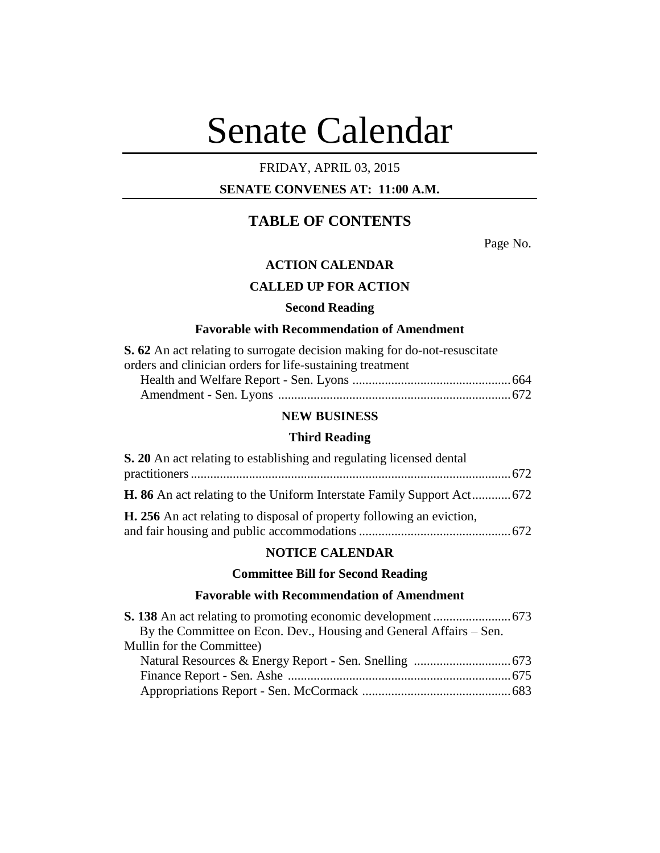# Senate Calendar

## FRIDAY, APRIL 03, 2015

## **SENATE CONVENES AT: 11:00 A.M.**

## **TABLE OF CONTENTS**

Page No.

## **ACTION CALENDAR**

## **CALLED UP FOR ACTION**

#### **Second Reading**

#### **Favorable with Recommendation of Amendment**

| <b>S. 62</b> An act relating to surrogate decision making for do-not-resuscitate |  |
|----------------------------------------------------------------------------------|--|
| orders and clinician orders for life-sustaining treatment                        |  |
|                                                                                  |  |
|                                                                                  |  |

#### **NEW BUSINESS**

#### **Third Reading**

| S. 20 An act relating to establishing and regulating licensed dental         |  |
|------------------------------------------------------------------------------|--|
|                                                                              |  |
|                                                                              |  |
| <b>H. 256</b> An act relating to disposal of property following an eviction, |  |

#### **NOTICE CALENDAR**

## **Committee Bill for Second Reading**

#### **Favorable with Recommendation of Amendment**

| By the Committee on Econ. Dev., Housing and General Affairs – Sen. |  |
|--------------------------------------------------------------------|--|
| Mullin for the Committee)                                          |  |
|                                                                    |  |
|                                                                    |  |
|                                                                    |  |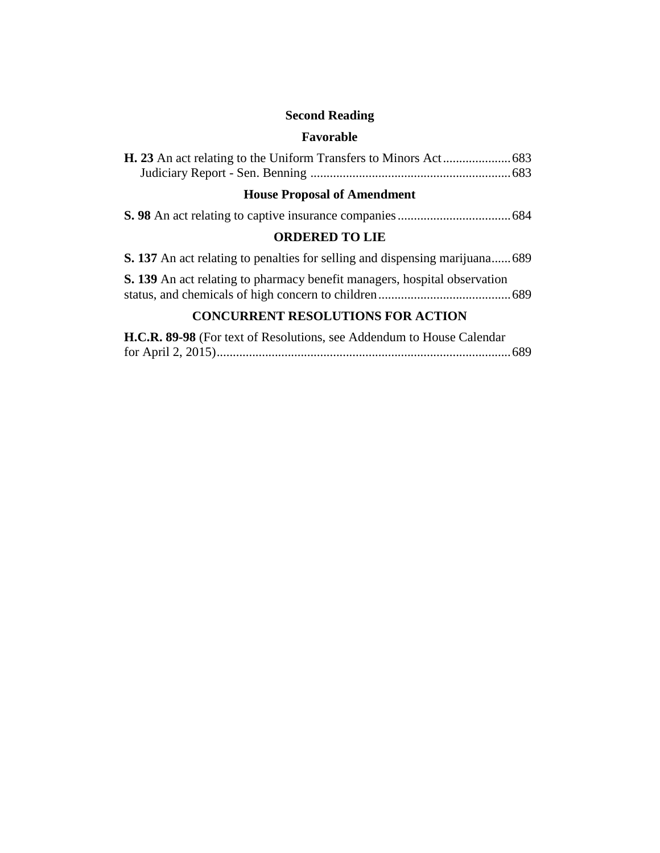# **Second Reading**

## **Favorable**

# **House Proposal of Amendment**

|--|--|--|--|--|--|--|

## **ORDERED TO LIE**

|  | <b>S. 137</b> An act relating to penalties for selling and dispensing marijuana 689 |  |
|--|-------------------------------------------------------------------------------------|--|
|  | S. 139 An act relating to pharmacy benefit managers, hospital observation           |  |
|  |                                                                                     |  |

## **CONCURRENT RESOLUTIONS FOR ACTION**

| H.C.R. 89-98 (For text of Resolutions, see Addendum to House Calendar |  |
|-----------------------------------------------------------------------|--|
|                                                                       |  |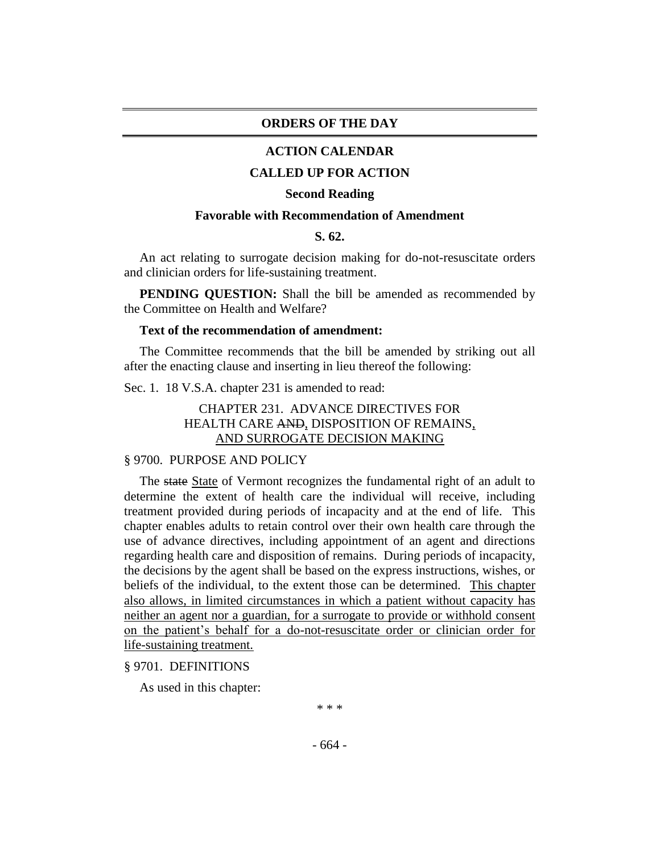#### **ORDERS OF THE DAY**

#### **ACTION CALENDAR**

#### **CALLED UP FOR ACTION**

#### **Second Reading**

#### **Favorable with Recommendation of Amendment**

#### **S. 62.**

An act relating to surrogate decision making for do-not-resuscitate orders and clinician orders for life-sustaining treatment.

**PENDING QUESTION:** Shall the bill be amended as recommended by the Committee on Health and Welfare?

#### **Text of the recommendation of amendment:**

The Committee recommends that the bill be amended by striking out all after the enacting clause and inserting in lieu thereof the following:

Sec. 1. 18 V.S.A. chapter 231 is amended to read:

## CHAPTER 231. ADVANCE DIRECTIVES FOR HEALTH CARE AND, DISPOSITION OF REMAINS, AND SURROGATE DECISION MAKING

#### § 9700. PURPOSE AND POLICY

The state State of Vermont recognizes the fundamental right of an adult to determine the extent of health care the individual will receive, including treatment provided during periods of incapacity and at the end of life. This chapter enables adults to retain control over their own health care through the use of advance directives, including appointment of an agent and directions regarding health care and disposition of remains. During periods of incapacity, the decisions by the agent shall be based on the express instructions, wishes, or beliefs of the individual, to the extent those can be determined. This chapter also allows, in limited circumstances in which a patient without capacity has neither an agent nor a guardian, for a surrogate to provide or withhold consent on the patient's behalf for a do-not-resuscitate order or clinician order for life-sustaining treatment.

§ 9701. DEFINITIONS

As used in this chapter:

\* \* \*

- 664 -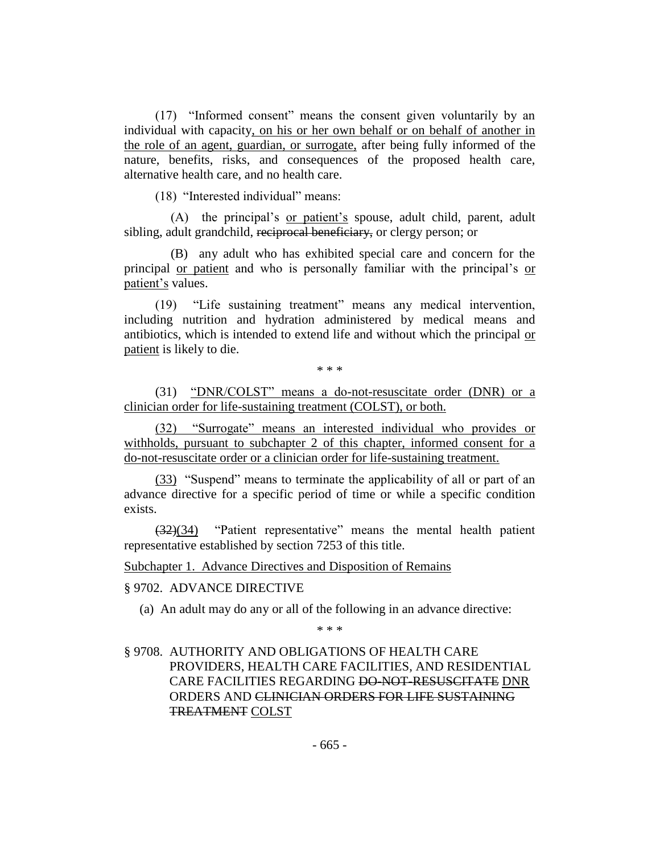(17) "Informed consent" means the consent given voluntarily by an individual with capacity, on his or her own behalf or on behalf of another in the role of an agent, guardian, or surrogate, after being fully informed of the nature, benefits, risks, and consequences of the proposed health care, alternative health care, and no health care.

(18) "Interested individual" means:

(A) the principal's or patient's spouse, adult child, parent, adult sibling, adult grandchild, reciprocal beneficiary, or clergy person; or

(B) any adult who has exhibited special care and concern for the principal or patient and who is personally familiar with the principal's or patient's values.

(19) "Life sustaining treatment" means any medical intervention, including nutrition and hydration administered by medical means and antibiotics, which is intended to extend life and without which the principal or patient is likely to die.

\* \* \*

(31) "DNR/COLST" means a do-not-resuscitate order (DNR) or a clinician order for life-sustaining treatment (COLST), or both.

(32) "Surrogate" means an interested individual who provides or withholds, pursuant to subchapter 2 of this chapter, informed consent for a do-not-resuscitate order or a clinician order for life-sustaining treatment.

(33) "Suspend" means to terminate the applicability of all or part of an advance directive for a specific period of time or while a specific condition exists.

(32)(34) "Patient representative" means the mental health patient representative established by section 7253 of this title.

Subchapter 1. Advance Directives and Disposition of Remains

#### § 9702. ADVANCE DIRECTIVE

(a) An adult may do any or all of the following in an advance directive:

\* \* \*

## § 9708. AUTHORITY AND OBLIGATIONS OF HEALTH CARE PROVIDERS, HEALTH CARE FACILITIES, AND RESIDENTIAL CARE FACILITIES REGARDING DO-NOT-RESUSCITATE DNR ORDERS AND CLINICIAN ORDERS FOR LIFE SUSTAINING TREATMENT COLST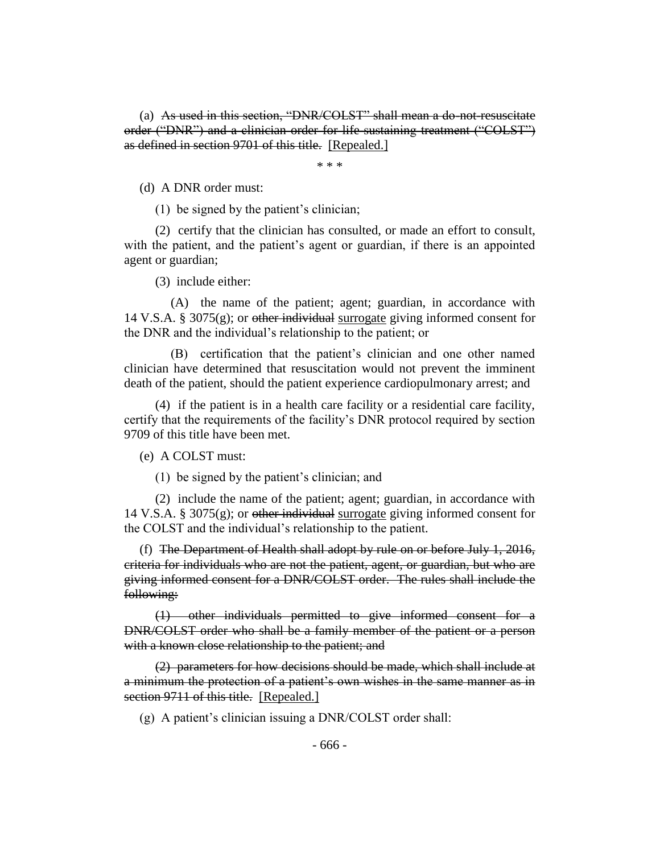(a) As used in this section, "DNR/COLST" shall mean a do-not-resuscitate order ("DNR") and a clinician order for life-sustaining treatment ("COLST") as defined in section 9701 of this title. [Repealed.]

\* \* \*

(d) A DNR order must:

(1) be signed by the patient's clinician;

(2) certify that the clinician has consulted, or made an effort to consult, with the patient, and the patient's agent or guardian, if there is an appointed agent or guardian;

(3) include either:

(A) the name of the patient; agent; guardian, in accordance with 14 V.S.A. § 3075 $(g)$ ; or other individual surrogate giving informed consent for the DNR and the individual's relationship to the patient; or

(B) certification that the patient's clinician and one other named clinician have determined that resuscitation would not prevent the imminent death of the patient, should the patient experience cardiopulmonary arrest; and

(4) if the patient is in a health care facility or a residential care facility, certify that the requirements of the facility's DNR protocol required by section 9709 of this title have been met.

(e) A COLST must:

(1) be signed by the patient's clinician; and

(2) include the name of the patient; agent; guardian, in accordance with 14 V.S.A. § 3075(g); or <del>other individual</del> surrogate giving informed consent for the COLST and the individual's relationship to the patient.

(f) The Department of Health shall adopt by rule on or before July 1, 2016, criteria for individuals who are not the patient, agent, or guardian, but who are giving informed consent for a DNR/COLST order. The rules shall include the following:

(1) other individuals permitted to give informed consent for a DNR/COLST order who shall be a family member of the patient or a person with a known close relationship to the patient; and

(2) parameters for how decisions should be made, which shall include at a minimum the protection of a patient's own wishes in the same manner as in section 9711 of this title. [Repealed.]

(g) A patient's clinician issuing a DNR/COLST order shall: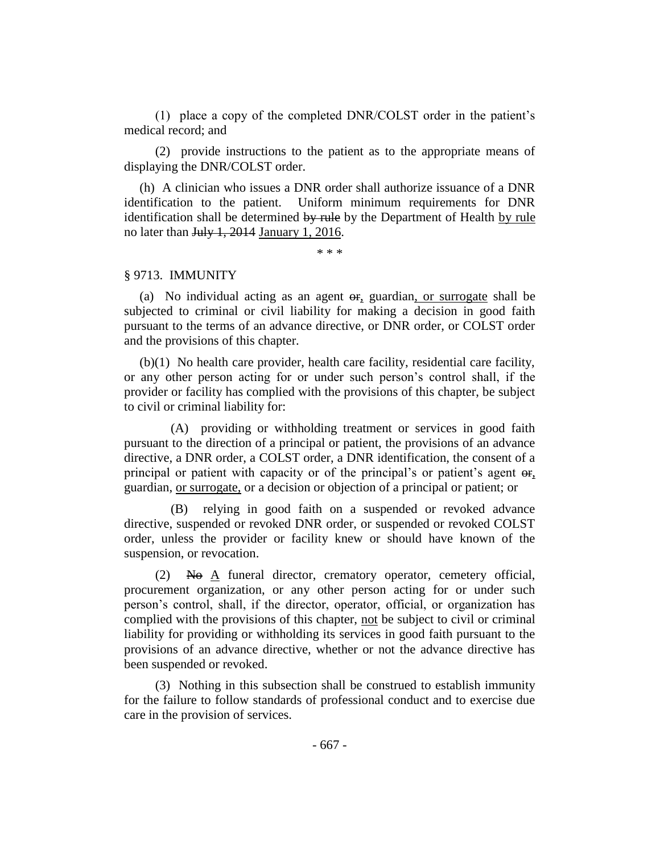(1) place a copy of the completed DNR/COLST order in the patient's medical record; and

(2) provide instructions to the patient as to the appropriate means of displaying the DNR/COLST order.

(h) A clinician who issues a DNR order shall authorize issuance of a DNR identification to the patient. Uniform minimum requirements for DNR identification shall be determined by rule by the Department of Health by rule no later than July 1, 2014 January 1, 2016.

\* \* \*

#### § 9713. IMMUNITY

(a) No individual acting as an agent  $\Theta$ , guardian, or surrogate shall be subjected to criminal or civil liability for making a decision in good faith pursuant to the terms of an advance directive, or DNR order, or COLST order and the provisions of this chapter.

(b)(1) No health care provider, health care facility, residential care facility, or any other person acting for or under such person's control shall, if the provider or facility has complied with the provisions of this chapter, be subject to civil or criminal liability for:

(A) providing or withholding treatment or services in good faith pursuant to the direction of a principal or patient, the provisions of an advance directive, a DNR order, a COLST order, a DNR identification, the consent of a principal or patient with capacity or of the principal's or patient's agent  $\Theta$ . guardian, or surrogate, or a decision or objection of a principal or patient; or

(B) relying in good faith on a suspended or revoked advance directive, suspended or revoked DNR order, or suspended or revoked COLST order, unless the provider or facility knew or should have known of the suspension, or revocation.

 $(2)$  No A funeral director, crematory operator, cemetery official, procurement organization, or any other person acting for or under such person's control, shall, if the director, operator, official, or organization has complied with the provisions of this chapter, not be subject to civil or criminal liability for providing or withholding its services in good faith pursuant to the provisions of an advance directive, whether or not the advance directive has been suspended or revoked.

(3) Nothing in this subsection shall be construed to establish immunity for the failure to follow standards of professional conduct and to exercise due care in the provision of services.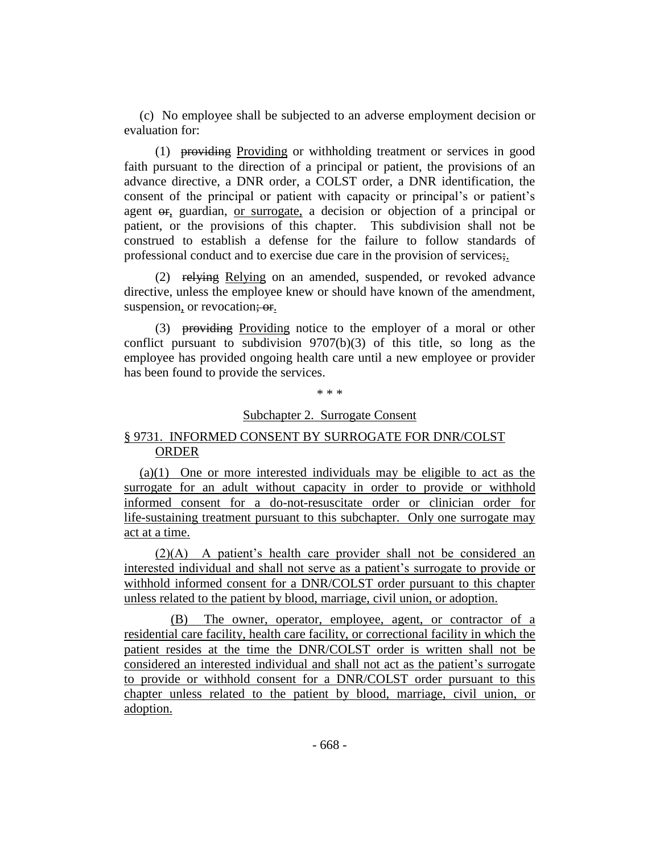(c) No employee shall be subjected to an adverse employment decision or evaluation for:

(1) providing Providing or withholding treatment or services in good faith pursuant to the direction of a principal or patient, the provisions of an advance directive, a DNR order, a COLST order, a DNR identification, the consent of the principal or patient with capacity or principal's or patient's agent or, guardian, or surrogate, a decision or objection of a principal or patient, or the provisions of this chapter. This subdivision shall not be construed to establish a defense for the failure to follow standards of professional conduct and to exercise due care in the provision of services;.

(2) relying Relying on an amended, suspended, or revoked advance directive, unless the employee knew or should have known of the amendment, suspension, or revocation; or.

(3) providing Providing notice to the employer of a moral or other conflict pursuant to subdivision  $9707(b)(3)$  of this title, so long as the employee has provided ongoing health care until a new employee or provider has been found to provide the services.

\* \* \*

#### Subchapter 2. Surrogate Consent

## § 9731. INFORMED CONSENT BY SURROGATE FOR DNR/COLST ORDER

(a)(1) One or more interested individuals may be eligible to act as the surrogate for an adult without capacity in order to provide or withhold informed consent for a do-not-resuscitate order or clinician order for life-sustaining treatment pursuant to this subchapter. Only one surrogate may act at a time.

(2)(A) A patient's health care provider shall not be considered an interested individual and shall not serve as a patient's surrogate to provide or withhold informed consent for a DNR/COLST order pursuant to this chapter unless related to the patient by blood, marriage, civil union, or adoption.

(B) The owner, operator, employee, agent, or contractor of a residential care facility, health care facility, or correctional facility in which the patient resides at the time the DNR/COLST order is written shall not be considered an interested individual and shall not act as the patient's surrogate to provide or withhold consent for a DNR/COLST order pursuant to this chapter unless related to the patient by blood, marriage, civil union, or adoption.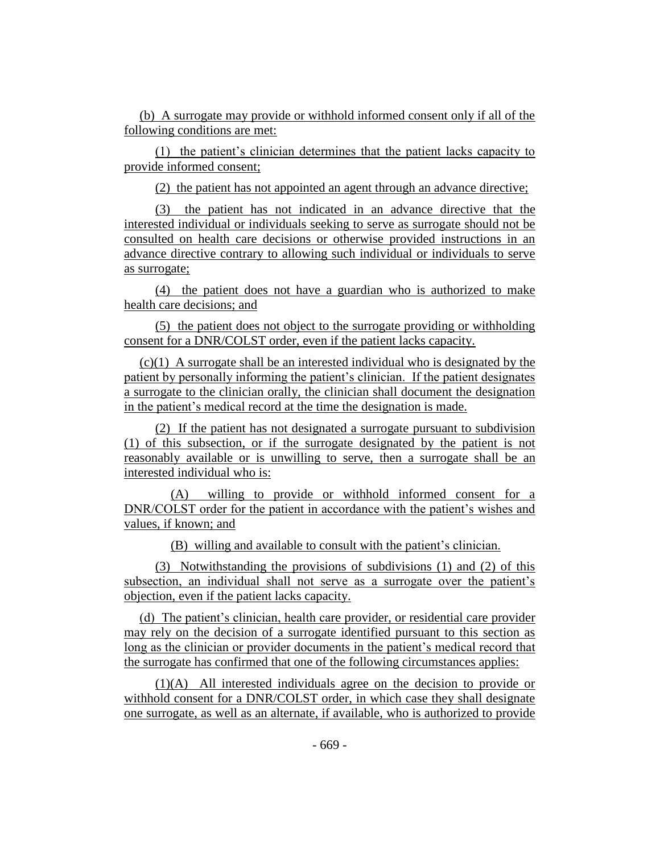(b) A surrogate may provide or withhold informed consent only if all of the following conditions are met:

(1) the patient's clinician determines that the patient lacks capacity to provide informed consent;

(2) the patient has not appointed an agent through an advance directive;

(3) the patient has not indicated in an advance directive that the interested individual or individuals seeking to serve as surrogate should not be consulted on health care decisions or otherwise provided instructions in an advance directive contrary to allowing such individual or individuals to serve as surrogate;

(4) the patient does not have a guardian who is authorized to make health care decisions; and

(5) the patient does not object to the surrogate providing or withholding consent for a DNR/COLST order, even if the patient lacks capacity.

(c)(1) A surrogate shall be an interested individual who is designated by the patient by personally informing the patient's clinician. If the patient designates a surrogate to the clinician orally, the clinician shall document the designation in the patient's medical record at the time the designation is made.

(2) If the patient has not designated a surrogate pursuant to subdivision (1) of this subsection, or if the surrogate designated by the patient is not reasonably available or is unwilling to serve, then a surrogate shall be an interested individual who is:

(A) willing to provide or withhold informed consent for a DNR/COLST order for the patient in accordance with the patient's wishes and values, if known; and

(B) willing and available to consult with the patient's clinician.

(3) Notwithstanding the provisions of subdivisions (1) and (2) of this subsection, an individual shall not serve as a surrogate over the patient's objection, even if the patient lacks capacity.

(d) The patient's clinician, health care provider, or residential care provider may rely on the decision of a surrogate identified pursuant to this section as long as the clinician or provider documents in the patient's medical record that the surrogate has confirmed that one of the following circumstances applies:

(1)(A) All interested individuals agree on the decision to provide or withhold consent for a DNR/COLST order, in which case they shall designate one surrogate, as well as an alternate, if available, who is authorized to provide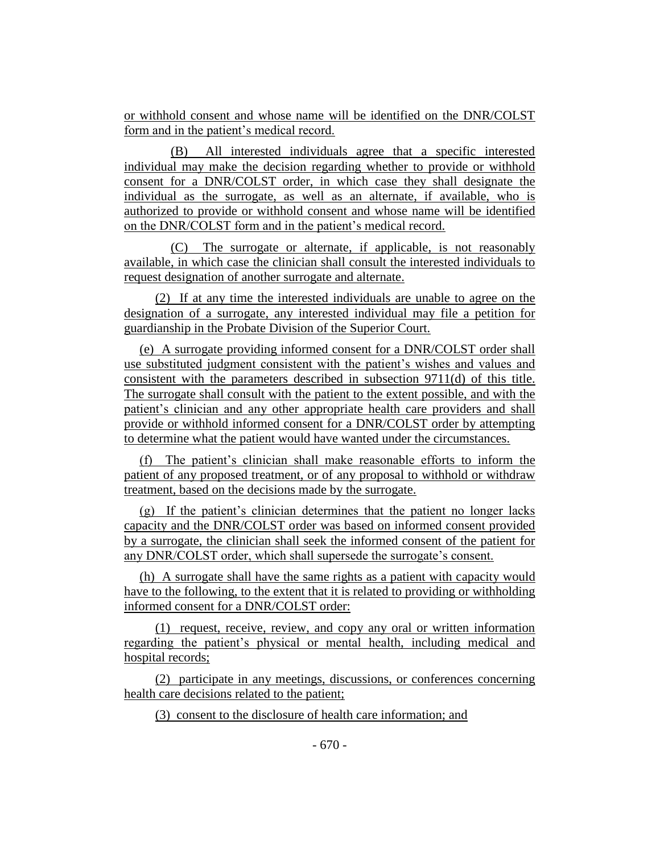or withhold consent and whose name will be identified on the DNR/COLST form and in the patient's medical record.

(B) All interested individuals agree that a specific interested individual may make the decision regarding whether to provide or withhold consent for a DNR/COLST order, in which case they shall designate the individual as the surrogate, as well as an alternate, if available, who is authorized to provide or withhold consent and whose name will be identified on the DNR/COLST form and in the patient's medical record.

(C) The surrogate or alternate, if applicable, is not reasonably available, in which case the clinician shall consult the interested individuals to request designation of another surrogate and alternate.

(2) If at any time the interested individuals are unable to agree on the designation of a surrogate, any interested individual may file a petition for guardianship in the Probate Division of the Superior Court.

(e) A surrogate providing informed consent for a DNR/COLST order shall use substituted judgment consistent with the patient's wishes and values and consistent with the parameters described in subsection 9711(d) of this title. The surrogate shall consult with the patient to the extent possible, and with the patient's clinician and any other appropriate health care providers and shall provide or withhold informed consent for a DNR/COLST order by attempting to determine what the patient would have wanted under the circumstances.

(f) The patient's clinician shall make reasonable efforts to inform the patient of any proposed treatment, or of any proposal to withhold or withdraw treatment, based on the decisions made by the surrogate.

(g) If the patient's clinician determines that the patient no longer lacks capacity and the DNR/COLST order was based on informed consent provided by a surrogate, the clinician shall seek the informed consent of the patient for any DNR/COLST order, which shall supersede the surrogate's consent.

(h) A surrogate shall have the same rights as a patient with capacity would have to the following, to the extent that it is related to providing or withholding informed consent for a DNR/COLST order:

(1) request, receive, review, and copy any oral or written information regarding the patient's physical or mental health, including medical and hospital records;

(2) participate in any meetings, discussions, or conferences concerning health care decisions related to the patient;

(3) consent to the disclosure of health care information; and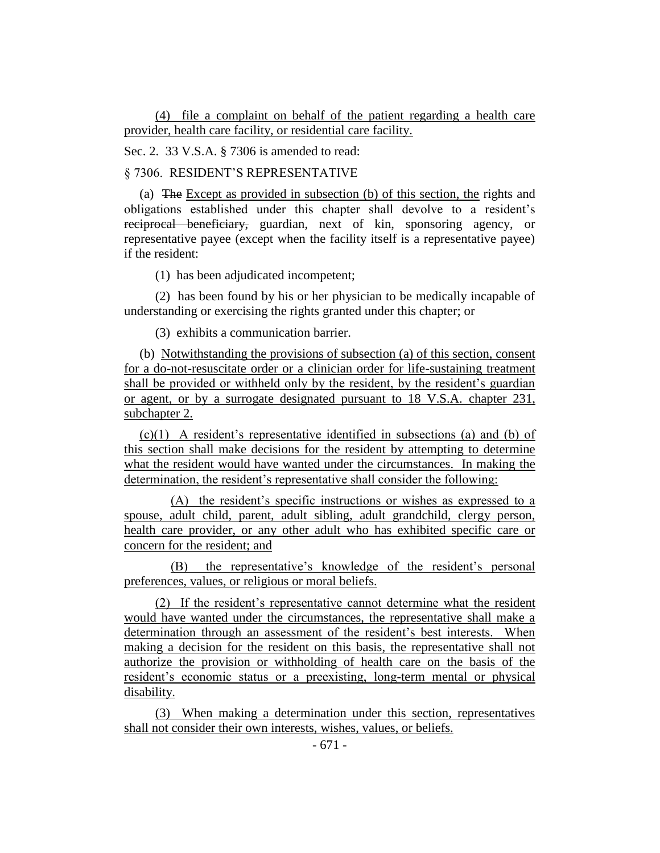(4) file a complaint on behalf of the patient regarding a health care provider, health care facility, or residential care facility.

Sec. 2. 33 V.S.A. § 7306 is amended to read:

§ 7306. RESIDENT'S REPRESENTATIVE

(a) The Except as provided in subsection (b) of this section, the rights and obligations established under this chapter shall devolve to a resident's reciprocal beneficiary, guardian, next of kin, sponsoring agency, or representative payee (except when the facility itself is a representative payee) if the resident:

(1) has been adjudicated incompetent;

(2) has been found by his or her physician to be medically incapable of understanding or exercising the rights granted under this chapter; or

(3) exhibits a communication barrier.

(b) Notwithstanding the provisions of subsection (a) of this section, consent for a do-not-resuscitate order or a clinician order for life-sustaining treatment shall be provided or withheld only by the resident, by the resident's guardian or agent, or by a surrogate designated pursuant to 18 V.S.A. chapter 231, subchapter 2.

(c)(1) A resident's representative identified in subsections (a) and (b) of this section shall make decisions for the resident by attempting to determine what the resident would have wanted under the circumstances. In making the determination, the resident's representative shall consider the following:

(A) the resident's specific instructions or wishes as expressed to a spouse, adult child, parent, adult sibling, adult grandchild, clergy person, health care provider, or any other adult who has exhibited specific care or concern for the resident; and

(B) the representative's knowledge of the resident's personal preferences, values, or religious or moral beliefs.

(2) If the resident's representative cannot determine what the resident would have wanted under the circumstances, the representative shall make a determination through an assessment of the resident's best interests. When making a decision for the resident on this basis, the representative shall not authorize the provision or withholding of health care on the basis of the resident's economic status or a preexisting, long-term mental or physical disability.

(3) When making a determination under this section, representatives shall not consider their own interests, wishes, values, or beliefs.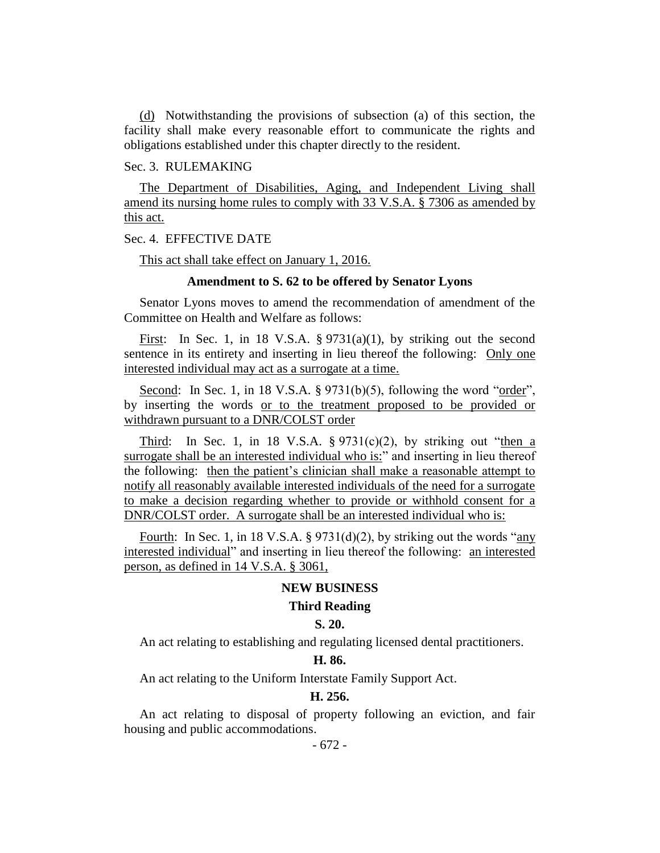(d) Notwithstanding the provisions of subsection (a) of this section, the facility shall make every reasonable effort to communicate the rights and obligations established under this chapter directly to the resident.

#### Sec. 3. RULEMAKING

The Department of Disabilities, Aging, and Independent Living shall amend its nursing home rules to comply with 33 V.S.A. § 7306 as amended by this act.

#### Sec. 4. EFFECTIVE DATE

This act shall take effect on January 1, 2016.

#### **Amendment to S. 62 to be offered by Senator Lyons**

Senator Lyons moves to amend the recommendation of amendment of the Committee on Health and Welfare as follows:

First: In Sec. 1, in 18 V.S.A.  $\S 9731(a)(1)$ , by striking out the second sentence in its entirety and inserting in lieu thereof the following: Only one interested individual may act as a surrogate at a time.

Second: In Sec. 1, in 18 V.S.A. § 9731(b)(5), following the word "order", by inserting the words or to the treatment proposed to be provided or withdrawn pursuant to a DNR/COLST order

Third: In Sec. 1, in 18 V.S.A.  $\S 9731(c)(2)$ , by striking out "then a surrogate shall be an interested individual who is:" and inserting in lieu thereof the following: then the patient's clinician shall make a reasonable attempt to notify all reasonably available interested individuals of the need for a surrogate to make a decision regarding whether to provide or withhold consent for a DNR/COLST order. A surrogate shall be an interested individual who is:

Fourth: In Sec. 1, in 18 V.S.A. § 9731(d)(2), by striking out the words "any interested individual" and inserting in lieu thereof the following: an interested person, as defined in 14 V.S.A. § 3061,

#### **NEW BUSINESS**

#### **Third Reading**

#### **S. 20.**

An act relating to establishing and regulating licensed dental practitioners.

#### **H. 86.**

An act relating to the Uniform Interstate Family Support Act.

#### **H. 256.**

An act relating to disposal of property following an eviction, and fair housing and public accommodations.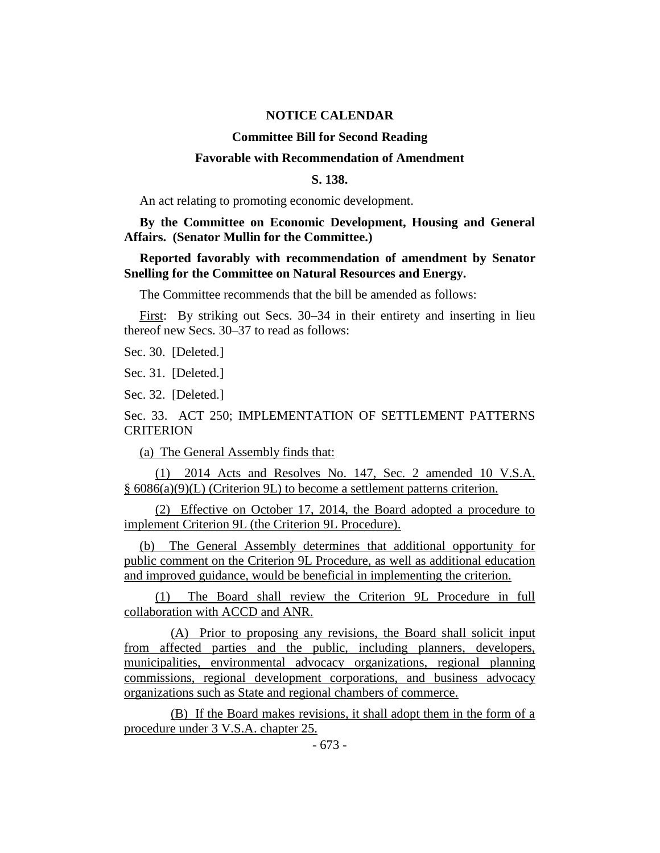#### **NOTICE CALENDAR**

#### **Committee Bill for Second Reading**

#### **Favorable with Recommendation of Amendment**

#### **S. 138.**

An act relating to promoting economic development.

**By the Committee on Economic Development, Housing and General Affairs. (Senator Mullin for the Committee.)**

#### **Reported favorably with recommendation of amendment by Senator Snelling for the Committee on Natural Resources and Energy.**

The Committee recommends that the bill be amended as follows:

First: By striking out Secs. 30–34 in their entirety and inserting in lieu thereof new Secs. 30–37 to read as follows:

Sec. 30. [Deleted.]

Sec. 31. [Deleted.]

Sec. 32. [Deleted.]

#### Sec. 33. ACT 250; IMPLEMENTATION OF SETTLEMENT PATTERNS **CRITERION**

(a) The General Assembly finds that:

(1) 2014 Acts and Resolves No. 147, Sec. 2 amended 10 V.S.A. § 6086(a)(9)(L) (Criterion 9L) to become a settlement patterns criterion.

(2) Effective on October 17, 2014, the Board adopted a procedure to implement Criterion 9L (the Criterion 9L Procedure).

(b) The General Assembly determines that additional opportunity for public comment on the Criterion 9L Procedure, as well as additional education and improved guidance, would be beneficial in implementing the criterion.

(1) The Board shall review the Criterion 9L Procedure in full collaboration with ACCD and ANR.

(A) Prior to proposing any revisions, the Board shall solicit input from affected parties and the public, including planners, developers, municipalities, environmental advocacy organizations, regional planning commissions, regional development corporations, and business advocacy organizations such as State and regional chambers of commerce.

(B) If the Board makes revisions, it shall adopt them in the form of a procedure under 3 V.S.A. chapter 25.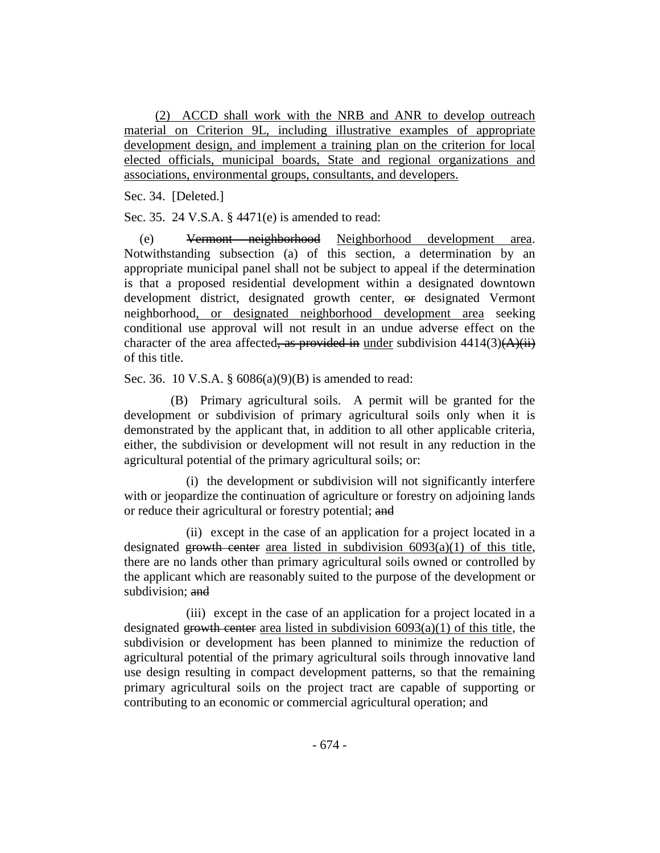(2) ACCD shall work with the NRB and ANR to develop outreach material on Criterion 9L, including illustrative examples of appropriate development design, and implement a training plan on the criterion for local elected officials, municipal boards, State and regional organizations and associations, environmental groups, consultants, and developers.

Sec. 34. [Deleted.]

Sec. 35. 24 V.S.A. § 4471(e) is amended to read:

(e) Vermont neighborhood Neighborhood development area. Notwithstanding subsection (a) of this section, a determination by an appropriate municipal panel shall not be subject to appeal if the determination is that a proposed residential development within a designated downtown development district, designated growth center, or designated Vermont neighborhood, or designated neighborhood development area seeking conditional use approval will not result in an undue adverse effect on the character of the area affected, as provided in under subdivision  $4414(3)(\overrightarrow{A})(i\overrightarrow{i})$ of this title.

Sec. 36. 10 V.S.A. § 6086(a)(9)(B) is amended to read:

(B) Primary agricultural soils. A permit will be granted for the development or subdivision of primary agricultural soils only when it is demonstrated by the applicant that, in addition to all other applicable criteria, either, the subdivision or development will not result in any reduction in the agricultural potential of the primary agricultural soils; or:

(i) the development or subdivision will not significantly interfere with or jeopardize the continuation of agriculture or forestry on adjoining lands or reduce their agricultural or forestry potential; and

(ii) except in the case of an application for a project located in a designated growth center area listed in subdivision  $6093(a)(1)$  of this title, there are no lands other than primary agricultural soils owned or controlled by the applicant which are reasonably suited to the purpose of the development or subdivision; and

(iii) except in the case of an application for a project located in a designated growth center area listed in subdivision  $6093(a)(1)$  of this title, the subdivision or development has been planned to minimize the reduction of agricultural potential of the primary agricultural soils through innovative land use design resulting in compact development patterns, so that the remaining primary agricultural soils on the project tract are capable of supporting or contributing to an economic or commercial agricultural operation; and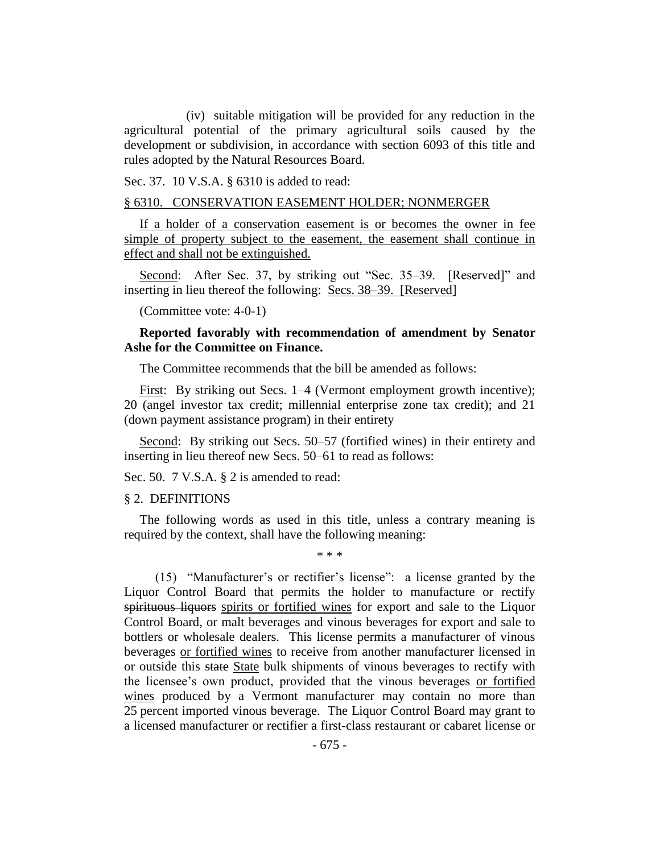(iv) suitable mitigation will be provided for any reduction in the agricultural potential of the primary agricultural soils caused by the development or subdivision, in accordance with section 6093 of this title and rules adopted by the Natural Resources Board.

Sec. 37. 10 V.S.A. § 6310 is added to read:

#### § 6310. CONSERVATION EASEMENT HOLDER; NONMERGER

If a holder of a conservation easement is or becomes the owner in fee simple of property subject to the easement, the easement shall continue in effect and shall not be extinguished.

Second: After Sec. 37, by striking out "Sec. 35–39. [Reserved]" and inserting in lieu thereof the following: Secs. 38–39. [Reserved]

(Committee vote: 4-0-1)

#### **Reported favorably with recommendation of amendment by Senator Ashe for the Committee on Finance.**

The Committee recommends that the bill be amended as follows:

First: By striking out Secs. 1–4 (Vermont employment growth incentive); 20 (angel investor tax credit; millennial enterprise zone tax credit); and 21 (down payment assistance program) in their entirety

Second: By striking out Secs. 50–57 (fortified wines) in their entirety and inserting in lieu thereof new Secs. 50–61 to read as follows:

Sec. 50. 7 V.S.A. § 2 is amended to read:

#### § 2. DEFINITIONS

The following words as used in this title, unless a contrary meaning is required by the context, shall have the following meaning:

\* \* \*

(15) "Manufacturer's or rectifier's license": a license granted by the Liquor Control Board that permits the holder to manufacture or rectify spirituous liquors spirits or fortified wines for export and sale to the Liquor Control Board, or malt beverages and vinous beverages for export and sale to bottlers or wholesale dealers. This license permits a manufacturer of vinous beverages or fortified wines to receive from another manufacturer licensed in or outside this state State bulk shipments of vinous beverages to rectify with the licensee's own product, provided that the vinous beverages or fortified wines produced by a Vermont manufacturer may contain no more than 25 percent imported vinous beverage. The Liquor Control Board may grant to a licensed manufacturer or rectifier a first-class restaurant or cabaret license or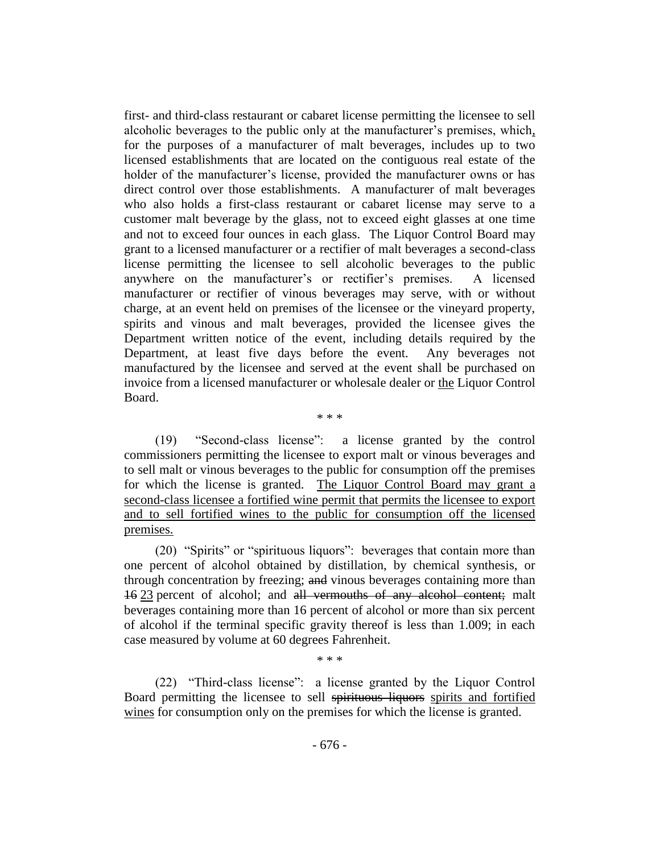first- and third-class restaurant or cabaret license permitting the licensee to sell alcoholic beverages to the public only at the manufacturer's premises, which, for the purposes of a manufacturer of malt beverages, includes up to two licensed establishments that are located on the contiguous real estate of the holder of the manufacturer's license, provided the manufacturer owns or has direct control over those establishments. A manufacturer of malt beverages who also holds a first-class restaurant or cabaret license may serve to a customer malt beverage by the glass, not to exceed eight glasses at one time and not to exceed four ounces in each glass. The Liquor Control Board may grant to a licensed manufacturer or a rectifier of malt beverages a second-class license permitting the licensee to sell alcoholic beverages to the public anywhere on the manufacturer's or rectifier's premises. A licensed manufacturer or rectifier of vinous beverages may serve, with or without charge, at an event held on premises of the licensee or the vineyard property, spirits and vinous and malt beverages, provided the licensee gives the Department written notice of the event, including details required by the Department, at least five days before the event. Any beverages not manufactured by the licensee and served at the event shall be purchased on invoice from a licensed manufacturer or wholesale dealer or the Liquor Control Board.

(19) "Second-class license": a license granted by the control commissioners permitting the licensee to export malt or vinous beverages and to sell malt or vinous beverages to the public for consumption off the premises for which the license is granted. The Liquor Control Board may grant a second-class licensee a fortified wine permit that permits the licensee to export and to sell fortified wines to the public for consumption off the licensed premises.

\* \* \*

(20) "Spirits" or "spirituous liquors": beverages that contain more than one percent of alcohol obtained by distillation, by chemical synthesis, or through concentration by freezing; and vinous beverages containing more than 16 23 percent of alcohol; and all vermouths of any alcohol content; malt beverages containing more than 16 percent of alcohol or more than six percent of alcohol if the terminal specific gravity thereof is less than 1.009; in each case measured by volume at 60 degrees Fahrenheit.

(22) "Third-class license": a license granted by the Liquor Control Board permitting the licensee to sell spirituous liquors spirits and fortified wines for consumption only on the premises for which the license is granted.

\* \* \*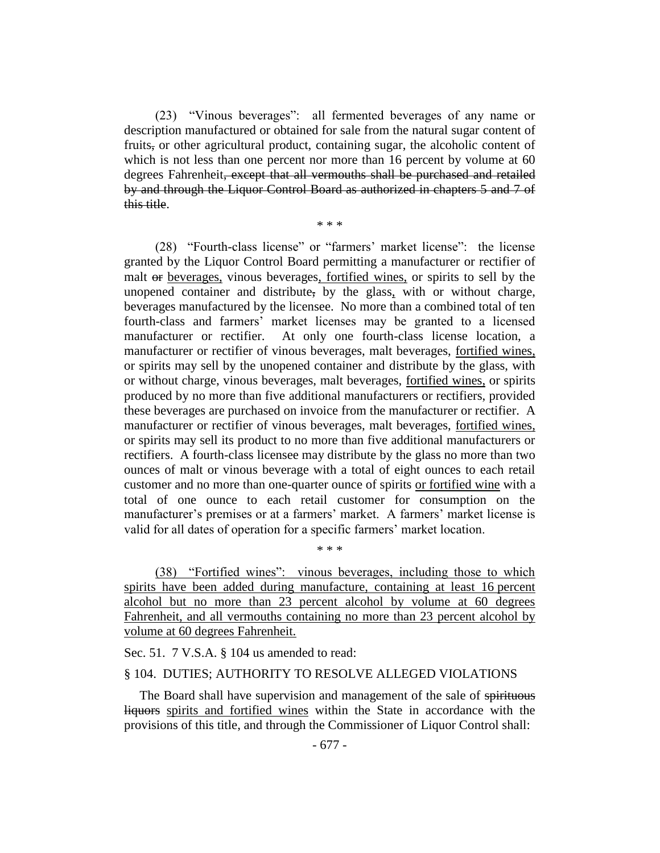(23) "Vinous beverages": all fermented beverages of any name or description manufactured or obtained for sale from the natural sugar content of fruits, or other agricultural product, containing sugar, the alcoholic content of which is not less than one percent nor more than 16 percent by volume at 60 degrees Fahrenheit, except that all vermouths shall be purchased and retailed by and through the Liquor Control Board as authorized in chapters 5 and 7 of this title.

\* \* \*

(28) "Fourth-class license" or "farmers' market license": the license granted by the Liquor Control Board permitting a manufacturer or rectifier of malt or beverages, vinous beverages, fortified wines, or spirits to sell by the unopened container and distribute, by the glass, with or without charge, beverages manufactured by the licensee. No more than a combined total of ten fourth-class and farmers' market licenses may be granted to a licensed manufacturer or rectifier. At only one fourth-class license location, a manufacturer or rectifier of vinous beverages, malt beverages, fortified wines, or spirits may sell by the unopened container and distribute by the glass, with or without charge, vinous beverages, malt beverages, fortified wines, or spirits produced by no more than five additional manufacturers or rectifiers, provided these beverages are purchased on invoice from the manufacturer or rectifier. A manufacturer or rectifier of vinous beverages, malt beverages, fortified wines, or spirits may sell its product to no more than five additional manufacturers or rectifiers. A fourth-class licensee may distribute by the glass no more than two ounces of malt or vinous beverage with a total of eight ounces to each retail customer and no more than one-quarter ounce of spirits or fortified wine with a total of one ounce to each retail customer for consumption on the manufacturer's premises or at a farmers' market. A farmers' market license is valid for all dates of operation for a specific farmers' market location.

(38) "Fortified wines": vinous beverages, including those to which spirits have been added during manufacture, containing at least 16 percent alcohol but no more than 23 percent alcohol by volume at 60 degrees Fahrenheit, and all vermouths containing no more than 23 percent alcohol by volume at 60 degrees Fahrenheit.

\* \* \*

Sec. 51. 7 V.S.A. § 104 us amended to read:

#### § 104. DUTIES; AUTHORITY TO RESOLVE ALLEGED VIOLATIONS

The Board shall have supervision and management of the sale of spirituous liquors spirits and fortified wines within the State in accordance with the provisions of this title, and through the Commissioner of Liquor Control shall: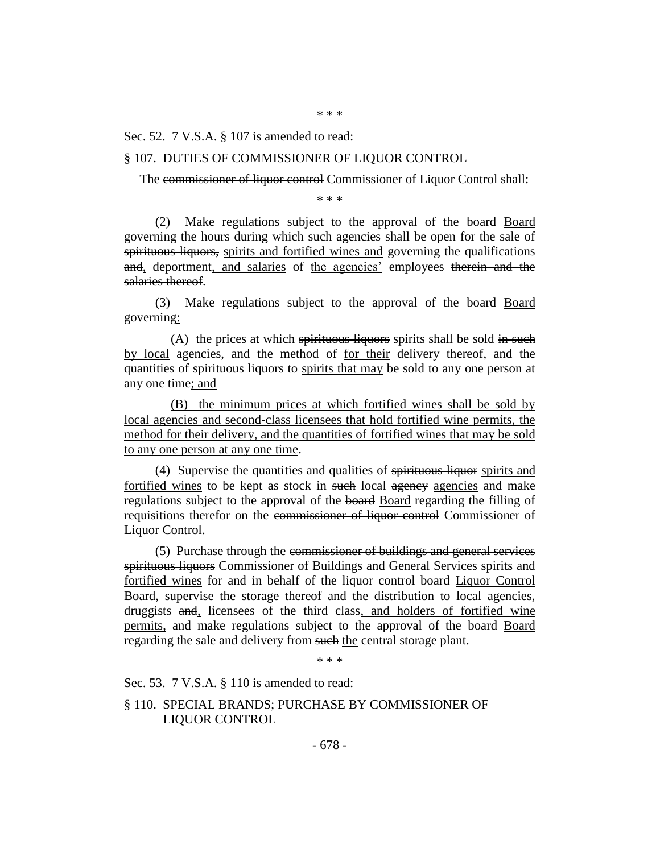Sec. 52. 7 V.S.A. § 107 is amended to read:

#### § 107. DUTIES OF COMMISSIONER OF LIQUOR CONTROL

The commissioner of liquor control Commissioner of Liquor Control shall:

\* \* \*

(2) Make regulations subject to the approval of the board Board governing the hours during which such agencies shall be open for the sale of spirituous liquors, spirits and fortified wines and governing the qualifications and, deportment, and salaries of the agencies' employees therein and the salaries thereof.

(3) Make regulations subject to the approval of the board Board governing:

 $(A)$  the prices at which spirituous liquors spirits shall be sold in such by local agencies, and the method of for their delivery thereof, and the quantities of spirituous liquors to spirits that may be sold to any one person at any one time; and

(B) the minimum prices at which fortified wines shall be sold by local agencies and second-class licensees that hold fortified wine permits, the method for their delivery, and the quantities of fortified wines that may be sold to any one person at any one time.

(4) Supervise the quantities and qualities of spirituous liquor spirits and fortified wines to be kept as stock in such local agency agencies and make regulations subject to the approval of the board Board regarding the filling of requisitions therefor on the commissioner of liquor control Commissioner of Liquor Control.

(5) Purchase through the commissioner of buildings and general services spirituous liquors Commissioner of Buildings and General Services spirits and fortified wines for and in behalf of the liquor control board Liquor Control Board, supervise the storage thereof and the distribution to local agencies, druggists and, licensees of the third class, and holders of fortified wine permits, and make regulations subject to the approval of the board Board regarding the sale and delivery from such the central storage plant.

\* \* \*

Sec. 53. 7 V.S.A. § 110 is amended to read:

§ 110. SPECIAL BRANDS; PURCHASE BY COMMISSIONER OF LIQUOR CONTROL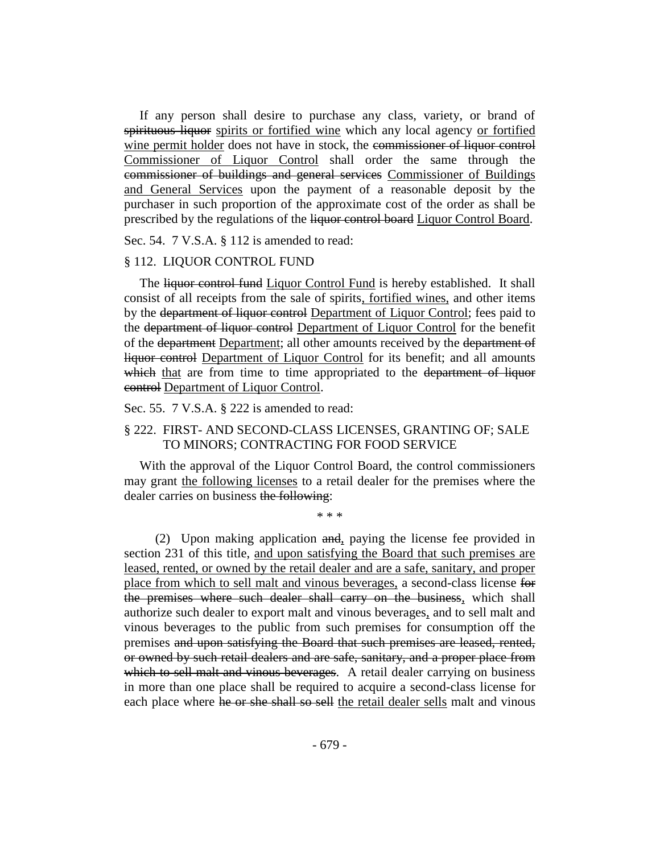If any person shall desire to purchase any class, variety, or brand of spirituous liquor spirits or fortified wine which any local agency or fortified wine permit holder does not have in stock, the commissioner of liquor control Commissioner of Liquor Control shall order the same through the commissioner of buildings and general services Commissioner of Buildings and General Services upon the payment of a reasonable deposit by the purchaser in such proportion of the approximate cost of the order as shall be prescribed by the regulations of the liquor control board Liquor Control Board.

Sec. 54. 7 V.S.A. § 112 is amended to read:

#### § 112. LIQUOR CONTROL FUND

The liquor control fund Liquor Control Fund is hereby established. It shall consist of all receipts from the sale of spirits, fortified wines, and other items by the department of liquor control Department of Liquor Control; fees paid to the department of liquor control Department of Liquor Control for the benefit of the department Department; all other amounts received by the department of liquor control Department of Liquor Control for its benefit; and all amounts which that are from time to time appropriated to the department of liquor control Department of Liquor Control.

Sec. 55. 7 V.S.A. § 222 is amended to read:

#### § 222. FIRST- AND SECOND-CLASS LICENSES, GRANTING OF; SALE TO MINORS; CONTRACTING FOR FOOD SERVICE

With the approval of the Liquor Control Board, the control commissioners may grant the following licenses to a retail dealer for the premises where the dealer carries on business the following:

\* \* \*

(2) Upon making application and, paying the license fee provided in section 231 of this title, and upon satisfying the Board that such premises are leased, rented, or owned by the retail dealer and are a safe, sanitary, and proper place from which to sell malt and vinous beverages, a second-class license for the premises where such dealer shall carry on the business, which shall authorize such dealer to export malt and vinous beverages, and to sell malt and vinous beverages to the public from such premises for consumption off the premises and upon satisfying the Board that such premises are leased, rented, or owned by such retail dealers and are safe, sanitary, and a proper place from which to sell malt and vinous beverages. A retail dealer carrying on business in more than one place shall be required to acquire a second-class license for each place where he or she shall so sell the retail dealer sells malt and vinous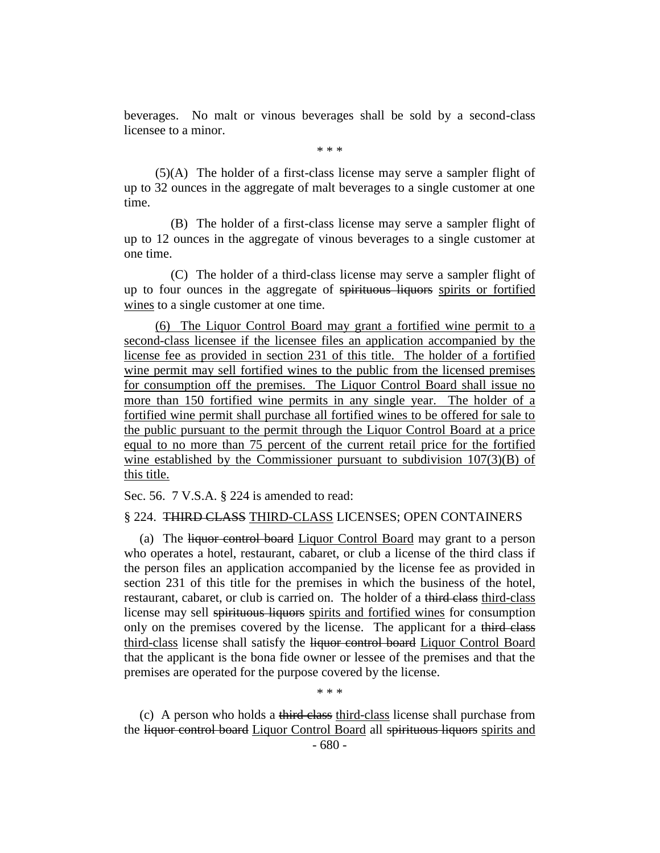beverages. No malt or vinous beverages shall be sold by a second-class licensee to a minor.

\* \* \*

(5)(A) The holder of a first-class license may serve a sampler flight of up to 32 ounces in the aggregate of malt beverages to a single customer at one time.

(B) The holder of a first-class license may serve a sampler flight of up to 12 ounces in the aggregate of vinous beverages to a single customer at one time.

(C) The holder of a third-class license may serve a sampler flight of up to four ounces in the aggregate of spirituous liquors spirits or fortified wines to a single customer at one time.

(6) The Liquor Control Board may grant a fortified wine permit to a second-class licensee if the licensee files an application accompanied by the license fee as provided in section 231 of this title. The holder of a fortified wine permit may sell fortified wines to the public from the licensed premises for consumption off the premises. The Liquor Control Board shall issue no more than 150 fortified wine permits in any single year. The holder of a fortified wine permit shall purchase all fortified wines to be offered for sale to the public pursuant to the permit through the Liquor Control Board at a price equal to no more than 75 percent of the current retail price for the fortified wine established by the Commissioner pursuant to subdivision 107(3)(B) of this title.

Sec. 56. 7 V.S.A. § 224 is amended to read:

#### § 224. THIRD CLASS THIRD-CLASS LICENSES; OPEN CONTAINERS

(a) The liquor control board Liquor Control Board may grant to a person who operates a hotel, restaurant, cabaret, or club a license of the third class if the person files an application accompanied by the license fee as provided in section 231 of this title for the premises in which the business of the hotel, restaurant, cabaret, or club is carried on. The holder of a third class third-class license may sell spirituous liquors spirits and fortified wines for consumption only on the premises covered by the license. The applicant for a third class third-class license shall satisfy the liquor control board Liquor Control Board that the applicant is the bona fide owner or lessee of the premises and that the premises are operated for the purpose covered by the license.

\* \* \*

(c) A person who holds a third class third-class license shall purchase from the liquor control board Liquor Control Board all spirituous liquors spirits and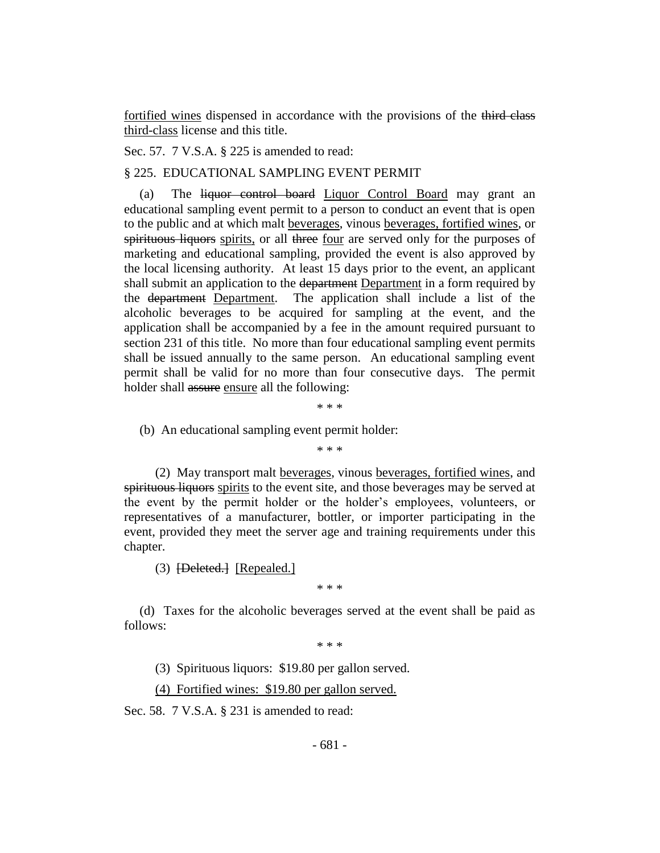fortified wines dispensed in accordance with the provisions of the third class third-class license and this title.

Sec. 57. 7 V.S.A. § 225 is amended to read:

§ 225. EDUCATIONAL SAMPLING EVENT PERMIT

(a) The liquor control board Liquor Control Board may grant an educational sampling event permit to a person to conduct an event that is open to the public and at which malt beverages, vinous beverages, fortified wines, or spirituous liquors spirits, or all three four are served only for the purposes of marketing and educational sampling, provided the event is also approved by the local licensing authority. At least 15 days prior to the event, an applicant shall submit an application to the department Department in a form required by the department Department. The application shall include a list of the alcoholic beverages to be acquired for sampling at the event, and the application shall be accompanied by a fee in the amount required pursuant to section 231 of this title. No more than four educational sampling event permits shall be issued annually to the same person. An educational sampling event permit shall be valid for no more than four consecutive days. The permit holder shall assure ensure all the following:

\* \* \*

(b) An educational sampling event permit holder:

\* \* \*

(2) May transport malt beverages, vinous beverages, fortified wines, and spirituous liquors spirits to the event site, and those beverages may be served at the event by the permit holder or the holder's employees, volunteers, or representatives of a manufacturer, bottler, or importer participating in the event, provided they meet the server age and training requirements under this chapter.

(3) **[Deleted.]** [Repealed.]

\* \* \*

(d) Taxes for the alcoholic beverages served at the event shall be paid as follows:

\* \* \*

(3) Spirituous liquors: \$19.80 per gallon served.

(4) Fortified wines: \$19.80 per gallon served.

Sec. 58. 7 V.S.A. § 231 is amended to read: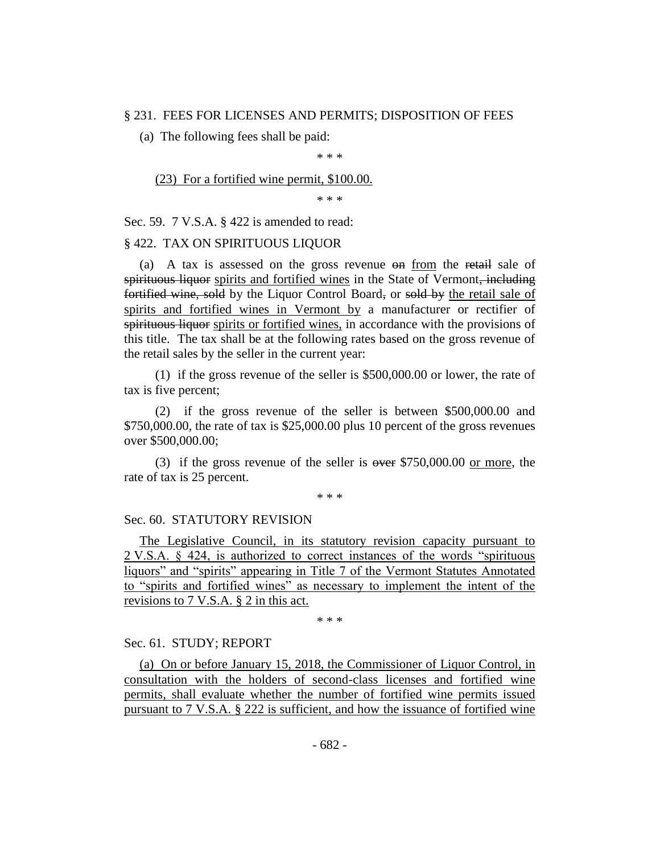#### § 231. FEES FOR LICENSES AND PERMITS; DISPOSITION OF FEES

(a) The following fees shall be paid:

\* \* \*

(23) For a fortified wine permit, \$100.00.

\* \* \*

Sec. 59. 7 V.S.A. § 422 is amended to read:

#### § 422. TAX ON SPIRITUOUS LIQUOR

(a) A tax is assessed on the gross revenue on from the retail sale of spirituous liquor spirits and fortified wines in the State of Vermont, including fortified wine, sold by the Liquor Control Board, or sold by the retail sale of spirits and fortified wines in Vermont by a manufacturer or rectifier of spirituous liquor spirits or fortified wines, in accordance with the provisions of this title. The tax shall be at the following rates based on the gross revenue of the retail sales by the seller in the current year:

(1) if the gross revenue of the seller is \$500,000.00 or lower, the rate of tax is five percent;

(2) if the gross revenue of the seller is between \$500,000.00 and \$750,000.00, the rate of tax is \$25,000.00 plus 10 percent of the gross revenues over \$500,000.00;

(3) if the gross revenue of the seller is  $\omega$  are \$750,000.00 or more, the rate of tax is 25 percent.

\* \* \*

#### Sec. 60. STATUTORY REVISION

The Legislative Council, in its statutory revision capacity pursuant to 2 V.S.A. § 424, is authorized to correct instances of the words "spirituous liquors" and "spirits" appearing in Title 7 of the Vermont Statutes Annotated to "spirits and fortified wines" as necessary to implement the intent of the revisions to 7 V.S.A. § 2 in this act.

\* \* \*

#### Sec. 61. STUDY; REPORT

(a) On or before January 15, 2018, the Commissioner of Liquor Control, in consultation with the holders of second-class licenses and fortified wine permits, shall evaluate whether the number of fortified wine permits issued pursuant to 7 V.S.A. § 222 is sufficient, and how the issuance of fortified wine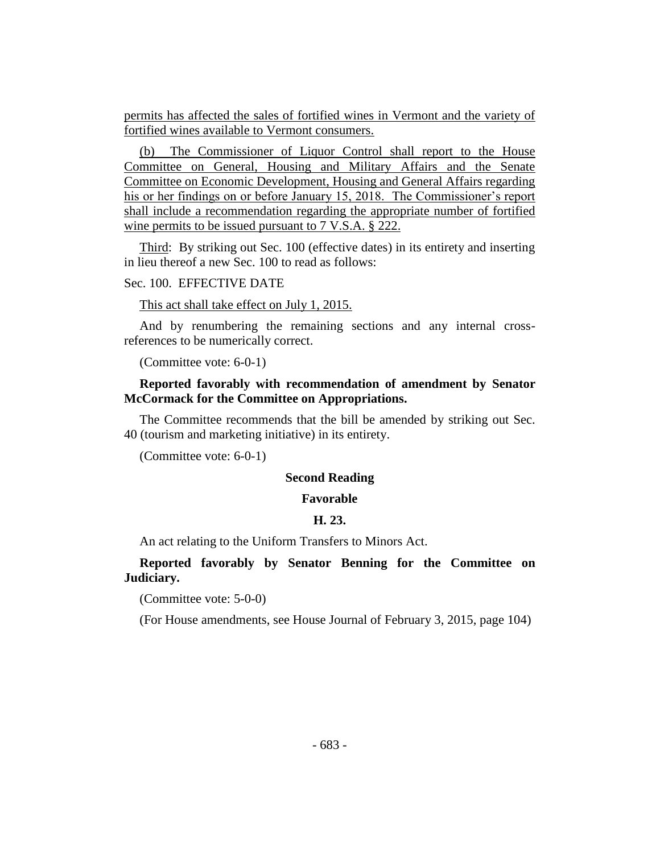permits has affected the sales of fortified wines in Vermont and the variety of fortified wines available to Vermont consumers.

(b) The Commissioner of Liquor Control shall report to the House Committee on General, Housing and Military Affairs and the Senate Committee on Economic Development, Housing and General Affairs regarding his or her findings on or before January 15, 2018. The Commissioner's report shall include a recommendation regarding the appropriate number of fortified wine permits to be issued pursuant to 7 V.S.A. § 222.

Third: By striking out Sec. 100 (effective dates) in its entirety and inserting in lieu thereof a new Sec. 100 to read as follows:

## Sec. 100. EFFECTIVE DATE

This act shall take effect on July 1, 2015.

And by renumbering the remaining sections and any internal crossreferences to be numerically correct.

(Committee vote: 6-0-1)

#### **Reported favorably with recommendation of amendment by Senator McCormack for the Committee on Appropriations.**

The Committee recommends that the bill be amended by striking out Sec. 40 (tourism and marketing initiative) in its entirety.

(Committee vote: 6-0-1)

#### **Second Reading**

#### **Favorable**

#### **H. 23.**

An act relating to the Uniform Transfers to Minors Act.

**Reported favorably by Senator Benning for the Committee on Judiciary.**

(Committee vote: 5-0-0)

(For House amendments, see House Journal of February 3, 2015, page 104)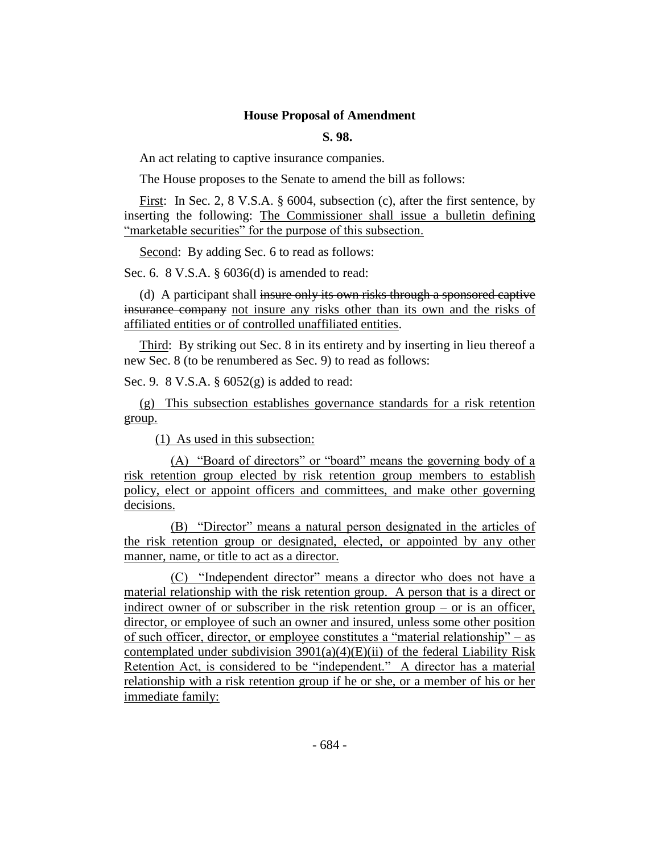#### **House Proposal of Amendment**

#### **S. 98.**

An act relating to captive insurance companies.

The House proposes to the Senate to amend the bill as follows:

First: In Sec. 2, 8 V.S.A. § 6004, subsection (c), after the first sentence, by inserting the following: The Commissioner shall issue a bulletin defining "marketable securities" for the purpose of this subsection.

Second: By adding Sec. 6 to read as follows:

Sec. 6. 8 V.S.A. § 6036(d) is amended to read:

(d) A participant shall insure only its own risks through a sponsored captive insurance company not insure any risks other than its own and the risks of affiliated entities or of controlled unaffiliated entities.

Third: By striking out Sec. 8 in its entirety and by inserting in lieu thereof a new Sec. 8 (to be renumbered as Sec. 9) to read as follows:

Sec. 9. 8 V.S.A. § 6052(g) is added to read:

(g) This subsection establishes governance standards for a risk retention group.

(1) As used in this subsection:

(A) "Board of directors" or "board" means the governing body of a risk retention group elected by risk retention group members to establish policy, elect or appoint officers and committees, and make other governing decisions.

(B) "Director" means a natural person designated in the articles of the risk retention group or designated, elected, or appointed by any other manner, name, or title to act as a director.

(C) "Independent director" means a director who does not have a material relationship with the risk retention group. A person that is a direct or indirect owner of or subscriber in the risk retention group  $-$  or is an officer, director, or employee of such an owner and insured, unless some other position of such officer, director, or employee constitutes a "material relationship" – as contemplated under subdivision  $3901(a)(4)(E)(ii)$  of the federal Liability Risk Retention Act, is considered to be "independent." A director has a material relationship with a risk retention group if he or she, or a member of his or her immediate family: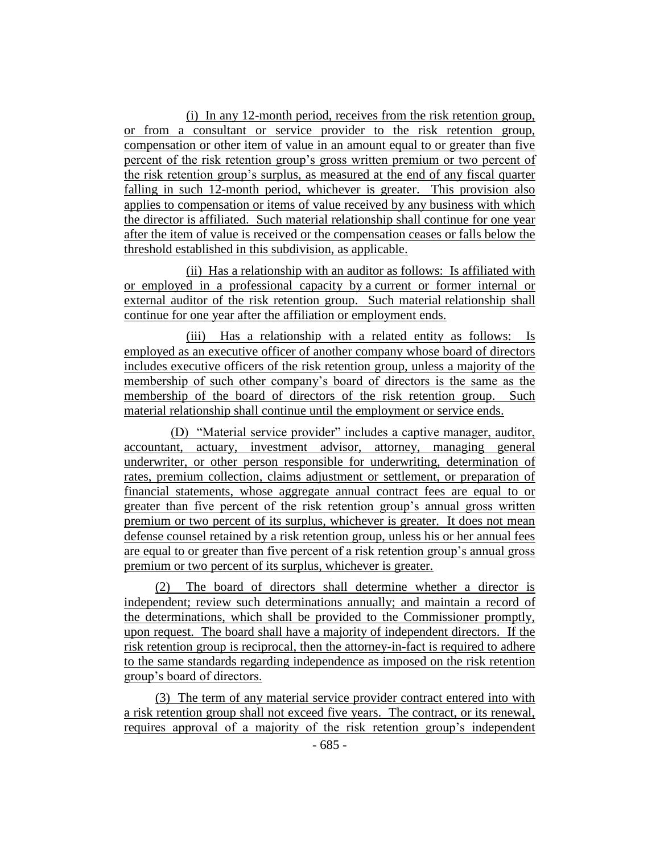(i) In any 12-month period, receives from the risk retention group, or from a consultant or service provider to the risk retention group, compensation or other item of value in an amount equal to or greater than five percent of the risk retention group's gross written premium or two percent of the risk retention group's surplus, as measured at the end of any fiscal quarter falling in such 12-month period, whichever is greater. This provision also applies to compensation or items of value received by any business with which the director is affiliated. Such material relationship shall continue for one year after the item of value is received or the compensation ceases or falls below the threshold established in this subdivision, as applicable.

(ii) Has a relationship with an auditor as follows: Is affiliated with or employed in a professional capacity by a current or former internal or external auditor of the risk retention group. Such material relationship shall continue for one year after the affiliation or employment ends.

(iii) Has a relationship with a related entity as follows: Is employed as an executive officer of another company whose board of directors includes executive officers of the risk retention group, unless a majority of the membership of such other company's board of directors is the same as the membership of the board of directors of the risk retention group. Such material relationship shall continue until the employment or service ends.

(D) "Material service provider" includes a captive manager, auditor, accountant, actuary, investment advisor, attorney, managing general underwriter, or other person responsible for underwriting, determination of rates, premium collection, claims adjustment or settlement, or preparation of financial statements, whose aggregate annual contract fees are equal to or greater than five percent of the risk retention group's annual gross written premium or two percent of its surplus, whichever is greater. It does not mean defense counsel retained by a risk retention group, unless his or her annual fees are equal to or greater than five percent of a risk retention group's annual gross premium or two percent of its surplus, whichever is greater.

(2) The board of directors shall determine whether a director is independent; review such determinations annually; and maintain a record of the determinations, which shall be provided to the Commissioner promptly, upon request. The board shall have a majority of independent directors. If the risk retention group is reciprocal, then the attorney-in-fact is required to adhere to the same standards regarding independence as imposed on the risk retention group's board of directors.

(3) The term of any material service provider contract entered into with a risk retention group shall not exceed five years. The contract, or its renewal, requires approval of a majority of the risk retention group's independent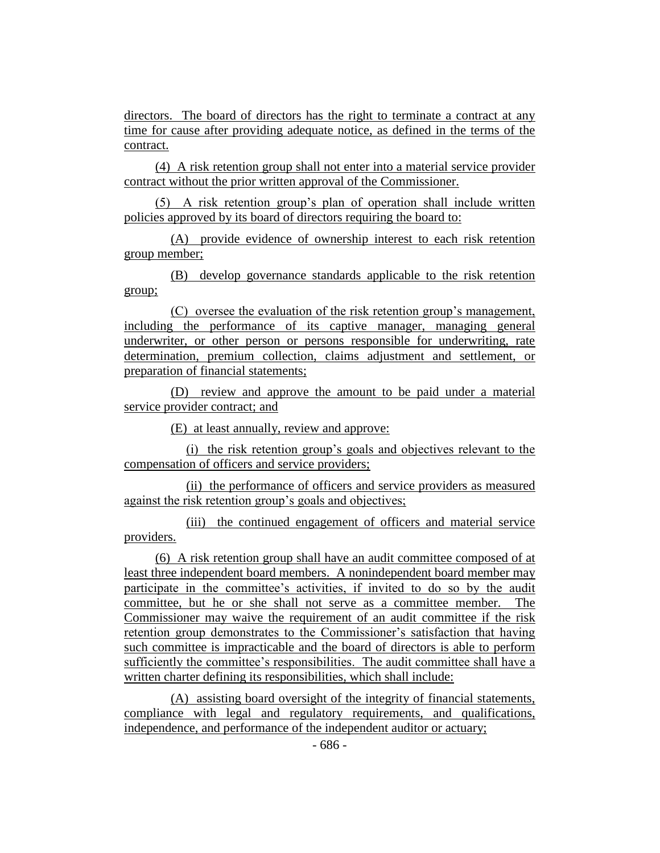directors. The board of directors has the right to terminate a contract at any time for cause after providing adequate notice, as defined in the terms of the contract.

(4) A risk retention group shall not enter into a material service provider contract without the prior written approval of the Commissioner.

(5) A risk retention group's plan of operation shall include written policies approved by its board of directors requiring the board to:

(A) provide evidence of ownership interest to each risk retention group member;

(B) develop governance standards applicable to the risk retention group;

(C) oversee the evaluation of the risk retention group's management, including the performance of its captive manager, managing general underwriter, or other person or persons responsible for underwriting, rate determination, premium collection, claims adjustment and settlement, or preparation of financial statements;

(D) review and approve the amount to be paid under a material service provider contract; and

(E) at least annually, review and approve:

(i) the risk retention group's goals and objectives relevant to the compensation of officers and service providers;

(ii) the performance of officers and service providers as measured against the risk retention group's goals and objectives;

(iii) the continued engagement of officers and material service providers.

(6) A risk retention group shall have an audit committee composed of at least three independent board members. A nonindependent board member may participate in the committee's activities, if invited to do so by the audit committee, but he or she shall not serve as a committee member. The Commissioner may waive the requirement of an audit committee if the risk retention group demonstrates to the Commissioner's satisfaction that having such committee is impracticable and the board of directors is able to perform sufficiently the committee's responsibilities. The audit committee shall have a written charter defining its responsibilities, which shall include:

(A) assisting board oversight of the integrity of financial statements, compliance with legal and regulatory requirements, and qualifications, independence, and performance of the independent auditor or actuary;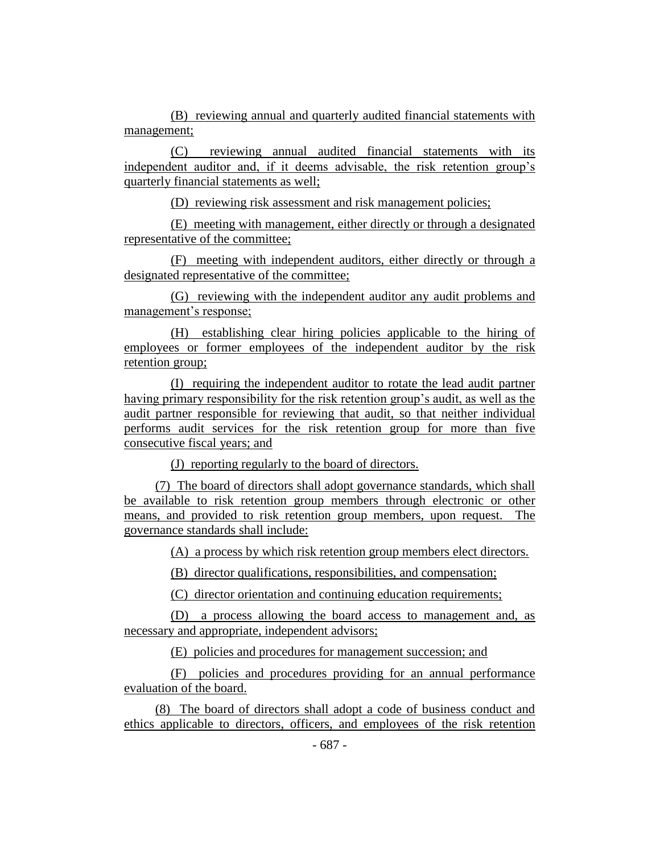(B) reviewing annual and quarterly audited financial statements with management;

(C) reviewing annual audited financial statements with its independent auditor and, if it deems advisable, the risk retention group's quarterly financial statements as well;

(D) reviewing risk assessment and risk management policies;

(E) meeting with management, either directly or through a designated representative of the committee;

(F) meeting with independent auditors, either directly or through a designated representative of the committee;

(G) reviewing with the independent auditor any audit problems and management's response;

(H) establishing clear hiring policies applicable to the hiring of employees or former employees of the independent auditor by the risk retention group;

(I) requiring the independent auditor to rotate the lead audit partner having primary responsibility for the risk retention group's audit, as well as the audit partner responsible for reviewing that audit, so that neither individual performs audit services for the risk retention group for more than five consecutive fiscal years; and

(J) reporting regularly to the board of directors.

(7) The board of directors shall adopt governance standards, which shall be available to risk retention group members through electronic or other means, and provided to risk retention group members, upon request. The governance standards shall include:

(A) a process by which risk retention group members elect directors.

(B) director qualifications, responsibilities, and compensation;

(C) director orientation and continuing education requirements;

(D) a process allowing the board access to management and, as necessary and appropriate, independent advisors;

(E) policies and procedures for management succession; and

(F) policies and procedures providing for an annual performance evaluation of the board.

(8) The board of directors shall adopt a code of business conduct and ethics applicable to directors, officers, and employees of the risk retention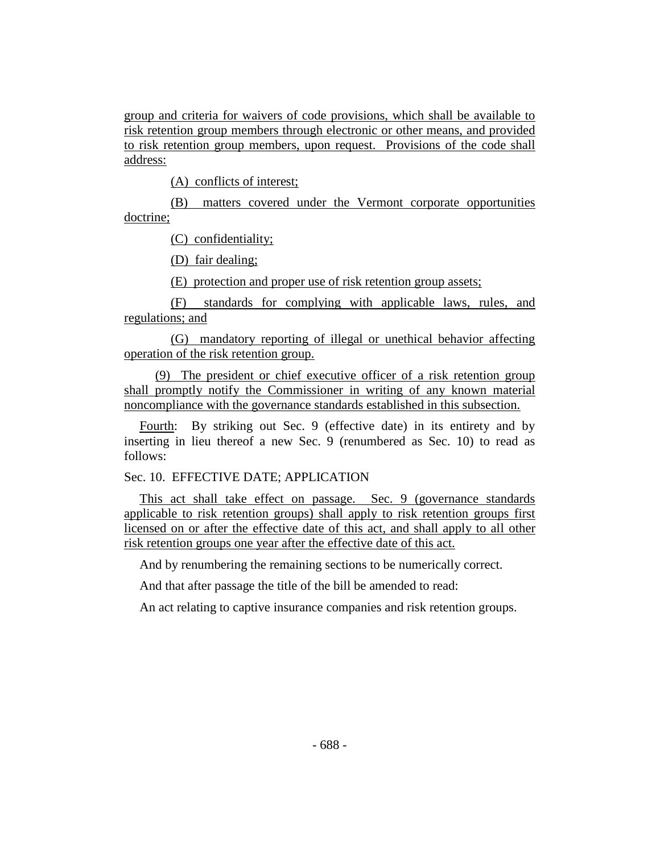group and criteria for waivers of code provisions, which shall be available to risk retention group members through electronic or other means, and provided to risk retention group members, upon request. Provisions of the code shall address:

(A) conflicts of interest;

(B) matters covered under the Vermont corporate opportunities doctrine;

(C) confidentiality;

(D) fair dealing;

(E) protection and proper use of risk retention group assets;

(F) standards for complying with applicable laws, rules, and regulations; and

(G) mandatory reporting of illegal or unethical behavior affecting operation of the risk retention group.

(9) The president or chief executive officer of a risk retention group shall promptly notify the Commissioner in writing of any known material noncompliance with the governance standards established in this subsection.

Fourth: By striking out Sec. 9 (effective date) in its entirety and by inserting in lieu thereof a new Sec. 9 (renumbered as Sec. 10) to read as follows:

Sec. 10. EFFECTIVE DATE; APPLICATION

This act shall take effect on passage. Sec. 9 (governance standards applicable to risk retention groups) shall apply to risk retention groups first licensed on or after the effective date of this act, and shall apply to all other risk retention groups one year after the effective date of this act.

And by renumbering the remaining sections to be numerically correct.

And that after passage the title of the bill be amended to read:

An act relating to captive insurance companies and risk retention groups.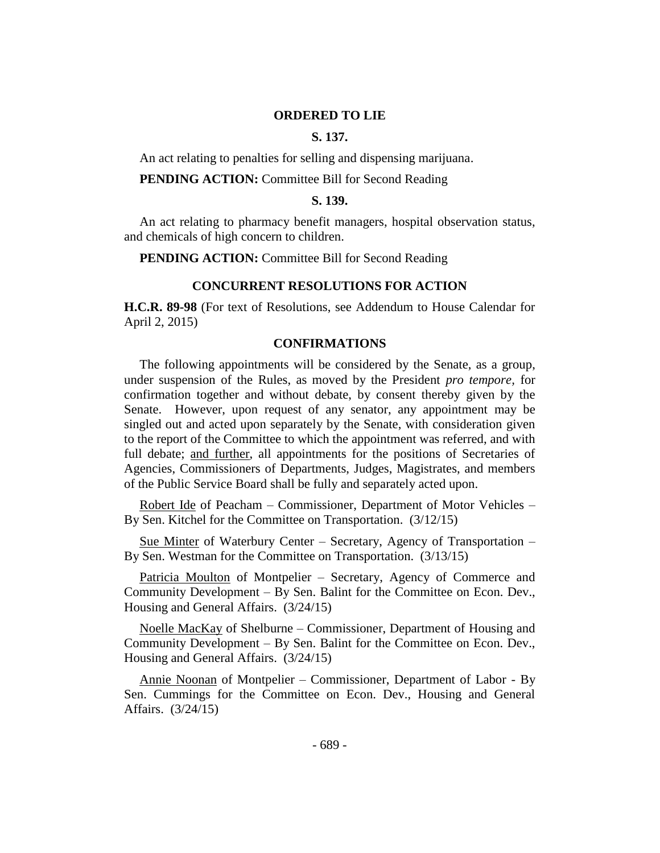#### **ORDERED TO LIE**

#### **S. 137.**

An act relating to penalties for selling and dispensing marijuana.

#### **PENDING ACTION:** Committee Bill for Second Reading

#### **S. 139.**

An act relating to pharmacy benefit managers, hospital observation status, and chemicals of high concern to children.

**PENDING ACTION:** Committee Bill for Second Reading

#### **CONCURRENT RESOLUTIONS FOR ACTION**

**H.C.R. 89-98** (For text of Resolutions, see Addendum to House Calendar for April 2, 2015)

#### **CONFIRMATIONS**

The following appointments will be considered by the Senate, as a group, under suspension of the Rules, as moved by the President *pro tempore,* for confirmation together and without debate, by consent thereby given by the Senate. However, upon request of any senator, any appointment may be singled out and acted upon separately by the Senate, with consideration given to the report of the Committee to which the appointment was referred, and with full debate; and further, all appointments for the positions of Secretaries of Agencies, Commissioners of Departments, Judges, Magistrates, and members of the Public Service Board shall be fully and separately acted upon.

Robert Ide of Peacham – Commissioner, Department of Motor Vehicles – By Sen. Kitchel for the Committee on Transportation. (3/12/15)

Sue Minter of Waterbury Center – Secretary, Agency of Transportation – By Sen. Westman for the Committee on Transportation. (3/13/15)

Patricia Moulton of Montpelier – Secretary, Agency of Commerce and Community Development – By Sen. Balint for the Committee on Econ. Dev., Housing and General Affairs. (3/24/15)

Noelle MacKay of Shelburne – Commissioner, Department of Housing and Community Development – By Sen. Balint for the Committee on Econ. Dev., Housing and General Affairs. (3/24/15)

Annie Noonan of Montpelier – Commissioner, Department of Labor - By Sen. Cummings for the Committee on Econ. Dev., Housing and General Affairs. (3/24/15)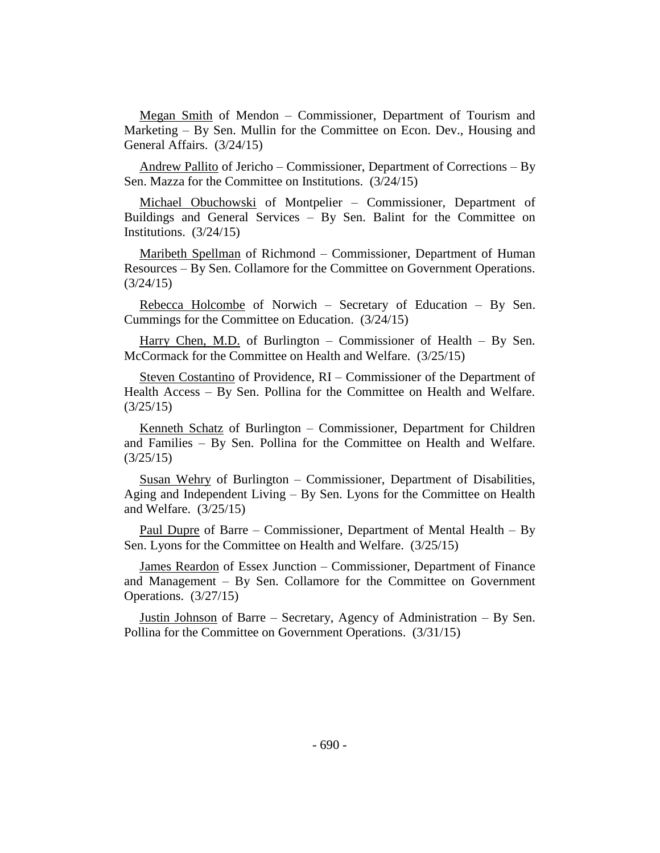Megan Smith of Mendon – Commissioner, Department of Tourism and Marketing – By Sen. Mullin for the Committee on Econ. Dev., Housing and General Affairs. (3/24/15)

Andrew Pallito of Jericho – Commissioner, Department of Corrections – By Sen. Mazza for the Committee on Institutions. (3/24/15)

Michael Obuchowski of Montpelier – Commissioner, Department of Buildings and General Services – By Sen. Balint for the Committee on Institutions. (3/24/15)

Maribeth Spellman of Richmond – Commissioner, Department of Human Resources – By Sen. Collamore for the Committee on Government Operations. (3/24/15)

Rebecca Holcombe of Norwich – Secretary of Education – By Sen. Cummings for the Committee on Education. (3/24/15)

Harry Chen, M.D. of Burlington – Commissioner of Health – By Sen. McCormack for the Committee on Health and Welfare. (3/25/15)

Steven Costantino of Providence, RI – Commissioner of the Department of Health Access – By Sen. Pollina for the Committee on Health and Welfare. (3/25/15)

Kenneth Schatz of Burlington – Commissioner, Department for Children and Families – By Sen. Pollina for the Committee on Health and Welfare. (3/25/15)

Susan Wehry of Burlington – Commissioner, Department of Disabilities, Aging and Independent Living – By Sen. Lyons for the Committee on Health and Welfare. (3/25/15)

Paul Dupre of Barre – Commissioner, Department of Mental Health – By Sen. Lyons for the Committee on Health and Welfare. (3/25/15)

James Reardon of Essex Junction – Commissioner, Department of Finance and Management – By Sen. Collamore for the Committee on Government Operations. (3/27/15)

Justin Johnson of Barre – Secretary, Agency of Administration – By Sen. Pollina for the Committee on Government Operations. (3/31/15)